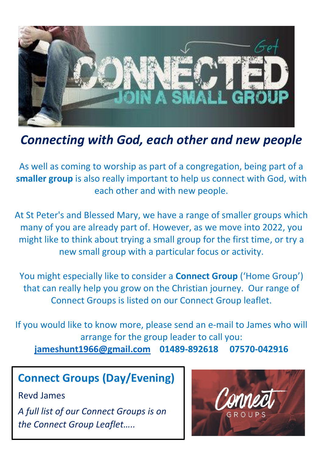

## *Connecting with God, each other and new people*

As well as coming to worship as part of a congregation, being part of a **smaller group** is also really important to help us connect with God, with each other and with new people.

At St Peter's and Blessed Mary, we have a range of smaller groups which many of you are already part of. However, as we move into 2022, you might like to think about trying a small group for the first time, or try a new small group with a particular focus or activity.

You might especially like to consider a **Connect Group** ('Home Group') that can really help you grow on the Christian journey. Our range of Connect Groups is listed on our Connect Group leaflet.

If you would like to know more, please send an e-mail to James who will arrange for the group leader to call you: **[jameshunt1966@gmail.com](mailto:jameshunt1966@gmail.com) 01489-892618 07570-042916**

### **Connect Groups (Day/Evening)**

Revd James

*A full list of our Connect Groups is on the Connect Group Leaflet…..*

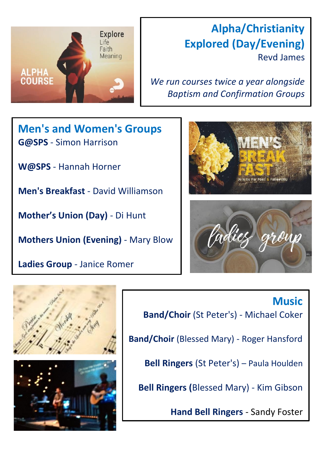

### **Alpha/Christianity Explored (Day/Evening)** Revd James

*We run courses twice a year alongside Baptism and Confirmation Groups*

**Men's and Women's Groups G@SPS** - Simon Harrison

**W@SPS** - Hannah Horner

**Men's Breakfast** - David Williamson

**Mother's Union (Day)** - Di Hunt

**Mothers Union (Evening)** - Mary Blow

**Ladies Group** - Janice Romer







**Music Band/Choir** (St Peter's) - Michael Coker **Band/Choir** (Blessed Mary) - Roger Hansford **Bell Ringers** (St Peter's) – Paula Houlden **Bell Ringers (**Blessed Mary) - Kim Gibson **Hand Bell Ringers** - Sandy Foster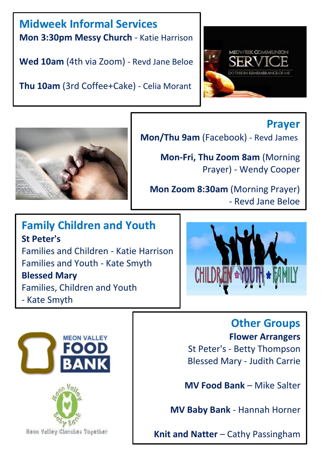**Midweek Informal Services Mon 3:30pm Messy Church** - Katie Harrison

**Wed 10am** (4th via Zoom) - Revd Jane Beloe

**Thu 10am** (3rd Coffee+Cake) - Celia Morant



#### **Prayer**



**Mon/Thu 9am** (Facebook) - Revd James

**Mon-Fri, Thu Zoom 8am** (Morning Prayer) - Wendy Cooper

**Mon Zoom 8:30am** (Morning Prayer) - Revd Jane Beloe

#### **Family Children and Youth St Peter's**  Families and Children - Katie Harrison Families and Youth - Kate Smyth **Blessed Mary** Families, Children and Youth - Kate Smyth







**Other Groups Flower Arrangers** St Peter's - Betty Thompson Blessed Mary - Judith Carrie

**MV Food Bank** – Mike Salter

**MV Baby Bank** - Hannah Horner

**Knit and Natter** – Cathy Passingham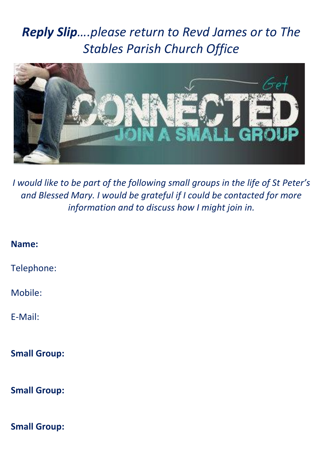## *Reply Slip….please return to Revd James or to The Stables Parish Church Office*



*I would like to be part of the following small groups in the life of St Peter's and Blessed Mary. I would be grateful if I could be contacted for more information and to discuss how I might join in.*

#### **Name:**

Telephone:

Mobile:

E-Mail:

#### **Small Group:**

**Small Group:**

**Small Group:**